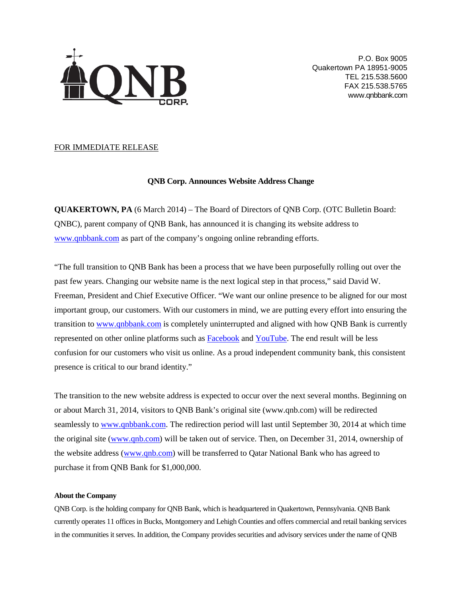

P.O. Box 9005 Quakertown PA 18951-9005 TEL 215.538.5600 FAX 215.538.5765 www.qnbbank.com

## FOR IMMEDIATE RELEASE

## **QNB Corp. Announces Website Address Change**

**QUAKERTOWN, PA** (6 March 2014) – The Board of Directors of QNB Corp. (OTC Bulletin Board: QNBC), parent company of QNB Bank, has announced it is changing its website address to [www.qnbbank.com](http://www.qnbbank.com/) as part of the company's ongoing online rebranding efforts.

"The full transition to QNB Bank has been a process that we have been purposefully rolling out over the past few years. Changing our website name is the next logical step in that process," said David W. Freeman, President and Chief Executive Officer. "We want our online presence to be aligned for our most important group, our customers. With our customers in mind, we are putting every effort into ensuring the transition t[o www.qnbbank.com](http://www.qnbbank.com/) is completely uninterrupted and aligned with how QNB Bank is currently represented on other online platforms such as [Facebook](https://www.facebook.com/QNBBank) an[d YouTube.](http://www.youtube.com/user/QNBBank) The end result will be less confusion for our customers who visit us online. As a proud independent community bank, this consistent presence is critical to our brand identity."

The transition to the new website address is expected to occur over the next several months. Beginning on or about March 31, 2014, visitors to QNB Bank's original site (www.qnb.com) will be redirected seamlessly t[o www.qnbbank.com.](http://www.qnbbank.com/) The redirection period will last until September 30, 2014 at which time the original site [\(www.qnb.com\)](http://www.qnb.com/) will be taken out of service. Then, on December 31, 2014, ownership of the website address [\(www.qnb.com\)](http://www.qnb.com/) will be transferred to Qatar National Bank who has agreed to purchase it from QNB Bank for \$1,000,000.

## **About the Company**

QNB Corp. is the holding company for QNB Bank, which is headquartered in Quakertown, Pennsylvania. QNB Bank currently operates 11 offices in Bucks, Montgomery and Lehigh Counties and offers commercial and retail banking services in the communities it serves. In addition, the Company provides securities and advisory services under the name of QNB